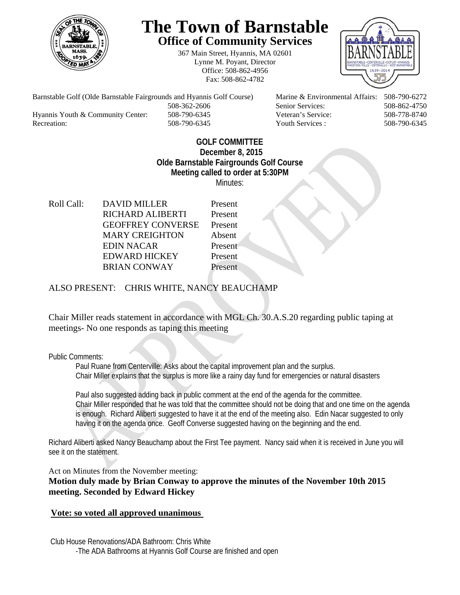

## **The Town of Barnstable Office of Community Services**

367 Main Street, Hyannis, MA 02601 Lynne M. Poyant, Director Office: 508-862-4956 Fax: 508-862-4782



Barnstable Golf (Olde Barnstable Fairgrounds and Hyannis Golf Course) Marine & Environmental Affairs: 508-790-6272 508-362-2606 Senior Services: 508-862-4750 Hyannis Youth & Community Center: 508-790-6345 Veteran's Service: 508-778-8740

Recreation: 508-790-6345 Youth Services : 508-790-6345 S08-790-6345

## **GOLF COMMITTEE December 8, 2015 Olde Barnstable Fairgrounds Golf Course Meeting called to order at 5:30PM**  Minutes:

Roll Call: DAVID MILLER Present RICHARD ALIBERTI Present GEOFFREY CONVERSE Present MARY CREIGHTON Absent EDIN NACAR Present EDWARD HICKEY Present BRIAN CONWAY Present

ALSO PRESENT: CHRIS WHITE, NANCY BEAUCHAMP

Chair Miller reads statement in accordance with MGL Ch. 30.A.S.20 regarding public taping at meetings- No one responds as taping this meeting

Public Comments:

Paul Ruane from Centerville: Asks about the capital improvement plan and the surplus. Chair Miller explains that the surplus is more like a rainy day fund for emergencies or natural disasters

Paul also suggested adding back in public comment at the end of the agenda for the committee. Chair Miller responded that he was told that the committee should not be doing that and one time on the agenda is enough. Richard Aliberti suggested to have it at the end of the meeting also. Edin Nacar suggested to only having it on the agenda once. Geoff Converse suggested having on the beginning and the end.

Richard Aliberti asked Nancy Beauchamp about the First Tee payment. Nancy said when it is received in June you will see it on the statement.

Act on Minutes from the November meeting:

**Motion duly made by Brian Conway to approve the minutes of the November 10th 2015 meeting. Seconded by Edward Hickey** 

## **Vote: so voted all approved unanimous**

 Club House Renovations/ADA Bathroom: Chris White -The ADA Bathrooms at Hyannis Golf Course are finished and open